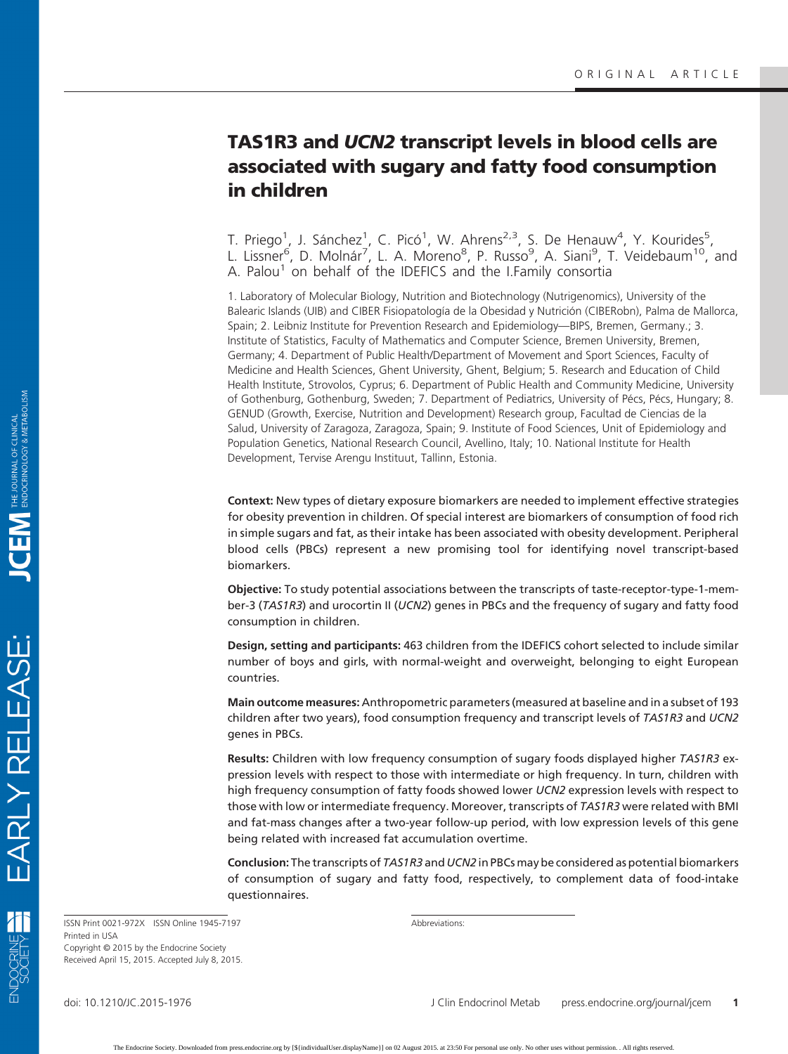# **TAS1R3 and** *UCN2* **transcript levels in blood cells are associated with sugary and fatty food consumption in children**

T. Priego<sup>1</sup>, J. Sánchez<sup>1</sup>, C. Picó<sup>1</sup>, W. Ahrens<sup>2,3</sup>, S. De Henauw<sup>4</sup>, Y. Kourides<sup>5</sup> , L. Lissner<sup>6</sup>, D. Molnár<sup>7</sup>, L. A. Moreno<sup>8</sup>, P. Russo<sup>9</sup>, A. Siani<sup>9</sup>, T. Veidebaum<sup>10</sup>, and A. Palou<sup>1</sup> on behalf of the IDEFICS and the I.Family consortia

1. Laboratory of Molecular Biology, Nutrition and Biotechnology (Nutrigenomics), University of the Balearic Islands (UIB) and CIBER Fisiopatología de la Obesidad y Nutrición (CIBERobn), Palma de Mallorca, Spain; 2. Leibniz Institute for Prevention Research and Epidemiology—BIPS, Bremen, Germany.; 3. Institute of Statistics, Faculty of Mathematics and Computer Science, Bremen University, Bremen, Germany; 4. Department of Public Health/Department of Movement and Sport Sciences, Faculty of Medicine and Health Sciences, Ghent University, Ghent, Belgium; 5. Research and Education of Child Health Institute, Strovolos, Cyprus; 6. Department of Public Health and Community Medicine, University of Gothenburg, Gothenburg, Sweden; 7. Department of Pediatrics, University of Pécs, Pécs, Hungary; 8. GENUD (Growth, Exercise, Nutrition and Development) Research group, Facultad de Ciencias de la Salud, University of Zaragoza, Zaragoza, Spain; 9. Institute of Food Sciences, Unit of Epidemiology and Population Genetics, National Research Council, Avellino, Italy; 10. National Institute for Health Development, Tervise Arengu Instituut, Tallinn, Estonia.

**Context:** New types of dietary exposure biomarkers are needed to implement effective strategies for obesity prevention in children. Of special interest are biomarkers of consumption of food rich in simple sugars and fat, as their intake has been associated with obesity development. Peripheral blood cells (PBCs) represent a new promising tool for identifying novel transcript-based biomarkers.

**Objective:** To study potential associations between the transcripts of taste-receptor-type-1-member-3 (*TAS1R3*) and urocortin II (*UCN2*) genes in PBCs and the frequency of sugary and fatty food consumption in children.

**Design, setting and participants:** 463 children from the IDEFICS cohort selected to include similar number of boys and girls, with normal-weight and overweight, belonging to eight European countries.

**Main outcome measures:** Anthropometric parameters (measured at baseline and in a subset of 193 children after two years), food consumption frequency and transcript levels of *TAS1R3* and *UCN2* genes in PBCs.

**Results:** Children with low frequency consumption of sugary foods displayed higher *TAS1R3* expression levels with respect to those with intermediate or high frequency. In turn, children with high frequency consumption of fatty foods showed lower *UCN2* expression levels with respect to those with low or intermediate frequency. Moreover, transcripts of *TAS1R3* were related with BMI and fat-mass changes after a two-year follow-up period, with low expression levels of this gene being related with increased fat accumulation overtime.

**Conclusion:** The transcripts of *TAS1R3* and *UCN2* in PBCs may be considered as potential biomarkers of consumption of sugary and fatty food, respectively, to complement data of food-intake questionnaires.

ISSN Print 0021-972X ISSN Online 1945-7197 Printed in USA Copyright © 2015 by the Endocrine Society Received April 15, 2015. Accepted July 8, 2015. Abbreviations:

EARLY RELEASE:

小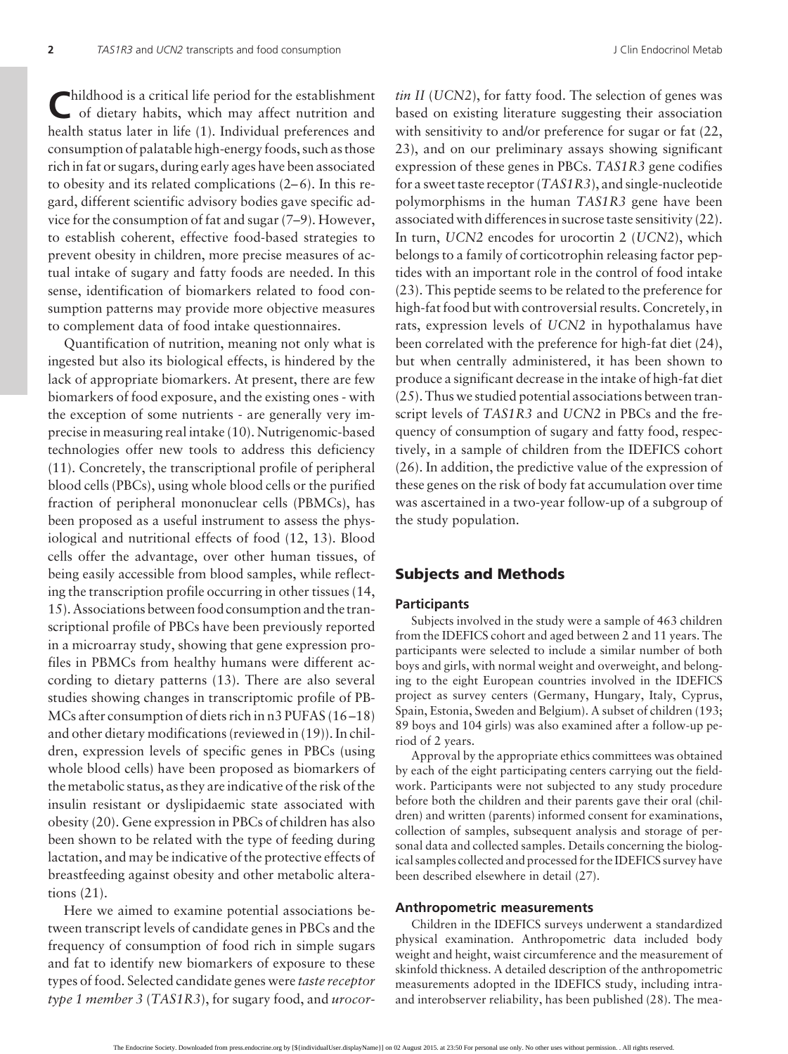Childhood is a critical life period for the establishment<br>of dietary habits, which may affect nutrition and health status later in life (1). Individual preferences and consumption of palatable high-energy foods, such as those rich in fat or sugars, during early ages have been associated to obesity and its related complications  $(2-6)$ . In this regard, different scientific advisory bodies gave specific advice for the consumption of fat and sugar (7–9). However, to establish coherent, effective food-based strategies to prevent obesity in children, more precise measures of actual intake of sugary and fatty foods are needed. In this sense, identification of biomarkers related to food consumption patterns may provide more objective measures to complement data of food intake questionnaires.

Quantification of nutrition, meaning not only what is ingested but also its biological effects, is hindered by the lack of appropriate biomarkers. At present, there are few biomarkers of food exposure, and the existing ones - with the exception of some nutrients - are generally very imprecise in measuring real intake (10). Nutrigenomic-based technologies offer new tools to address this deficiency (11). Concretely, the transcriptional profile of peripheral blood cells (PBCs), using whole blood cells or the purified fraction of peripheral mononuclear cells (PBMCs), has been proposed as a useful instrument to assess the physiological and nutritional effects of food (12, 13). Blood cells offer the advantage, over other human tissues, of being easily accessible from blood samples, while reflecting the transcription profile occurring in other tissues (14, 15). Associations between food consumption and the transcriptional profile of PBCs have been previously reported in a microarray study, showing that gene expression profiles in PBMCs from healthy humans were different according to dietary patterns (13). There are also several studies showing changes in transcriptomic profile of PB-MCs after consumption of diets rich in n3 PUFAS (16-18) and other dietary modifications (reviewed in (19)). In children, expression levels of specific genes in PBCs (using whole blood cells) have been proposed as biomarkers of the metabolic status, as they are indicative of the risk of the insulin resistant or dyslipidaemic state associated with obesity (20). Gene expression in PBCs of children has also been shown to be related with the type of feeding during lactation, and may be indicative of the protective effects of breastfeeding against obesity and other metabolic alterations (21).

Here we aimed to examine potential associations between transcript levels of candidate genes in PBCs and the frequency of consumption of food rich in simple sugars and fat to identify new biomarkers of exposure to these types of food. Selected candidate genes were *taste receptor type 1 member 3* (*TAS1R3*), for sugary food, and *urocor-* *tin II* (*UCN2*), for fatty food. The selection of genes was based on existing literature suggesting their association with sensitivity to and/or preference for sugar or fat  $(22, 1)$ 23), and on our preliminary assays showing significant expression of these genes in PBCs. *TAS1R3* gene codifies for a sweet taste receptor (*TAS1R3*), and single-nucleotide polymorphisms in the human *TAS1R3* gene have been associated with differences in sucrose taste sensitivity (22). In turn, *UCN2* encodes for urocortin 2 (*UCN2*), which belongs to a family of corticotrophin releasing factor peptides with an important role in the control of food intake (23). This peptide seems to be related to the preference for high-fat food but with controversial results. Concretely, in rats, expression levels of *UCN2* in hypothalamus have been correlated with the preference for high-fat diet (24), but when centrally administered, it has been shown to produce a significant decrease in the intake of high-fat diet (25). Thus we studied potential associations between transcript levels of *TAS1R3* and *UCN2* in PBCs and the frequency of consumption of sugary and fatty food, respectively, in a sample of children from the IDEFICS cohort (26). In addition, the predictive value of the expression of these genes on the risk of body fat accumulation over time was ascertained in a two-year follow-up of a subgroup of the study population.

### **Subjects and Methods**

#### **Participants**

Subjects involved in the study were a sample of 463 children from the IDEFICS cohort and aged between 2 and 11 years. The participants were selected to include a similar number of both boys and girls, with normal weight and overweight, and belonging to the eight European countries involved in the IDEFICS project as survey centers (Germany, Hungary, Italy, Cyprus, Spain, Estonia, Sweden and Belgium). A subset of children (193; 89 boys and 104 girls) was also examined after a follow-up period of 2 years.

Approval by the appropriate ethics committees was obtained by each of the eight participating centers carrying out the fieldwork. Participants were not subjected to any study procedure before both the children and their parents gave their oral (children) and written (parents) informed consent for examinations, collection of samples, subsequent analysis and storage of personal data and collected samples. Details concerning the biological samples collected and processed for the IDEFICS survey have been described elsewhere in detail (27).

#### **Anthropometric measurements**

Children in the IDEFICS surveys underwent a standardized physical examination. Anthropometric data included body weight and height, waist circumference and the measurement of skinfold thickness. A detailed description of the anthropometric measurements adopted in the IDEFICS study, including intraand interobserver reliability, has been published (28). The mea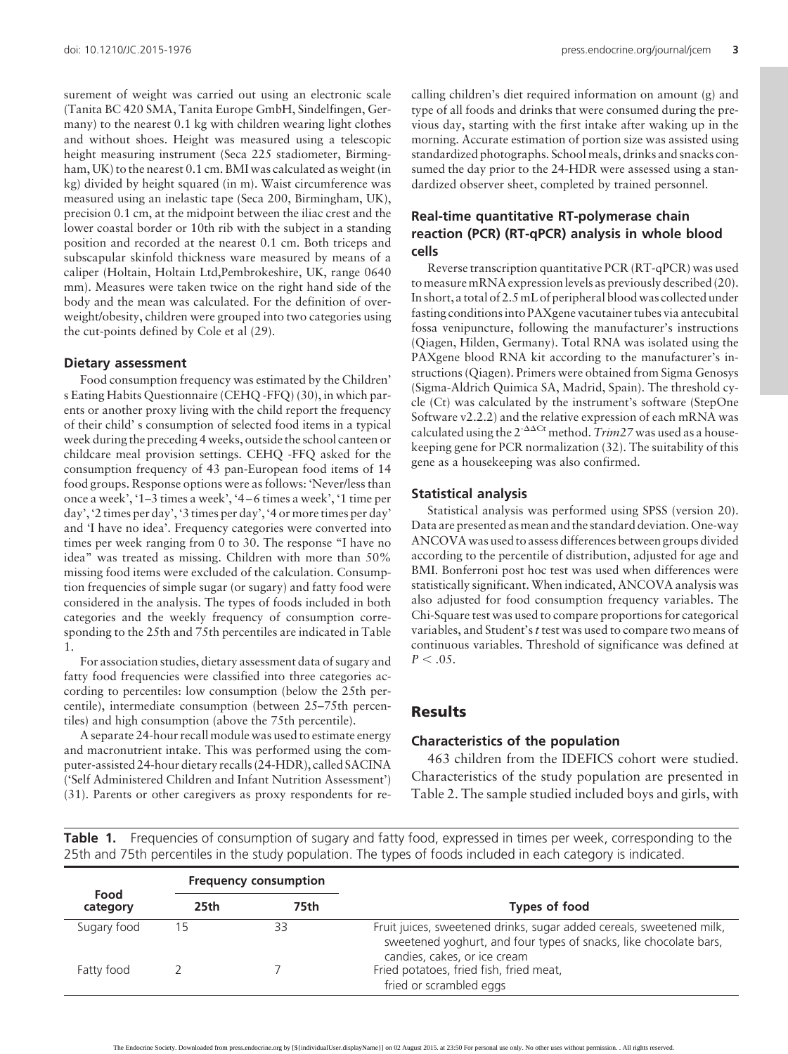surement of weight was carried out using an electronic scale (Tanita BC 420 SMA, Tanita Europe GmbH, Sindelfingen, Germany) to the nearest 0.1 kg with children wearing light clothes and without shoes. Height was measured using a telescopic height measuring instrument (Seca 225 stadiometer, Birmingham, UK) to the nearest 0.1 cm. BMI was calculated as weight (in kg) divided by height squared (in m). Waist circumference was measured using an inelastic tape (Seca 200, Birmingham, UK), precision 0.1 cm, at the midpoint between the iliac crest and the lower coastal border or 10th rib with the subject in a standing position and recorded at the nearest 0.1 cm. Both triceps and subscapular skinfold thickness ware measured by means of a caliper (Holtain, Holtain Ltd,Pembrokeshire, UK, range 0640 mm). Measures were taken twice on the right hand side of the body and the mean was calculated. For the definition of overweight/obesity, children were grouped into two categories using the cut-points defined by Cole et al (29).

#### **Dietary assessment**

Food consumption frequency was estimated by the Children' s Eating Habits Questionnaire (CEHQ -FFQ) (30), in which parents or another proxy living with the child report the frequency of their child' s consumption of selected food items in a typical week during the preceding 4 weeks, outside the school canteen or childcare meal provision settings. CEHQ -FFQ asked for the consumption frequency of 43 pan-European food items of 14 food groups. Response options were as follows: 'Never/less than once a week', '1–3 times a week', '4 – 6 times a week', '1 time per day', '2 times per day', '3 times per day', '4 or more times per day' and 'I have no idea'. Frequency categories were converted into times per week ranging from 0 to 30. The response "I have no idea" was treated as missing. Children with more than 50% missing food items were excluded of the calculation. Consumption frequencies of simple sugar (or sugary) and fatty food were considered in the analysis. The types of foods included in both categories and the weekly frequency of consumption corresponding to the 25th and 75th percentiles are indicated in Table 1.

For association studies, dietary assessment data of sugary and fatty food frequencies were classified into three categories according to percentiles: low consumption (below the 25th percentile), intermediate consumption (between 25–75th percentiles) and high consumption (above the 75th percentile).

A separate 24-hour recall module was used to estimate energy and macronutrient intake. This was performed using the computer-assisted 24-hour dietary recalls (24-HDR), called SACINA ('Self Administered Children and Infant Nutrition Assessment') (31). Parents or other caregivers as proxy respondents for recalling children's diet required information on amount (g) and type of all foods and drinks that were consumed during the previous day, starting with the first intake after waking up in the morning. Accurate estimation of portion size was assisted using standardized photographs. School meals, drinks and snacks consumed the day prior to the 24-HDR were assessed using a standardized observer sheet, completed by trained personnel.

### **Real-time quantitative RT-polymerase chain reaction (PCR) (RT-qPCR) analysis in whole blood cells**

Reverse transcription quantitative PCR (RT-qPCR) was used to measure mRNA expression levels as previously described (20). In short, a total of 2.5 mL of peripheral blood was collected under fasting conditions into PAXgene vacutainer tubes via antecubital fossa venipuncture, following the manufacturer's instructions (Qiagen, Hilden, Germany). Total RNA was isolated using the PAXgene blood RNA kit according to the manufacturer's instructions (Qiagen). Primers were obtained from Sigma Genosys (Sigma-Aldrich Quimica SA, Madrid, Spain). The threshold cycle (Ct) was calculated by the instrument's software (StepOne Software v2.2.2) and the relative expression of each mRNA was calculated using the  $2^{-\Delta\Delta Ct}$  method. *Trim27* was used as a housekeeping gene for PCR normalization (32). The suitability of this gene as a housekeeping was also confirmed.

#### **Statistical analysis**

Statistical analysis was performed using SPSS (version 20). Data are presented as mean and the standard deviation. One-way ANCOVA was used to assess differences between groups divided according to the percentile of distribution, adjusted for age and BMI. Bonferroni post hoc test was used when differences were statistically significant. When indicated, ANCOVA analysis was also adjusted for food consumption frequency variables. The Chi-Square test was used to compare proportions for categorical variables, and Student's*t* test was used to compare two means of continuous variables. Threshold of significance was defined at  $P < .05$ .

# **Results**

#### **Characteristics of the population**

463 children from the IDEFICS cohort were studied. Characteristics of the study population are presented in Table 2. The sample studied included boys and girls, with

**Table 1.** Frequencies of consumption of sugary and fatty food, expressed in times per week, corresponding to the 25th and 75th percentiles in the study population. The types of foods included in each category is indicated.

| Food<br>category | <b>Frequency consumption</b> |    |                                                                                                                                                                           |  |
|------------------|------------------------------|----|---------------------------------------------------------------------------------------------------------------------------------------------------------------------------|--|
|                  | 75th<br>25th                 |    | Types of food                                                                                                                                                             |  |
| Sugary food      |                              | 33 | Fruit juices, sweetened drinks, sugar added cereals, sweetened milk,<br>sweetened yoghurt, and four types of snacks, like chocolate bars,<br>candies, cakes, or ice cream |  |
| Fatty food       |                              |    | Fried potatoes, fried fish, fried meat,<br>fried or scrambled eggs                                                                                                        |  |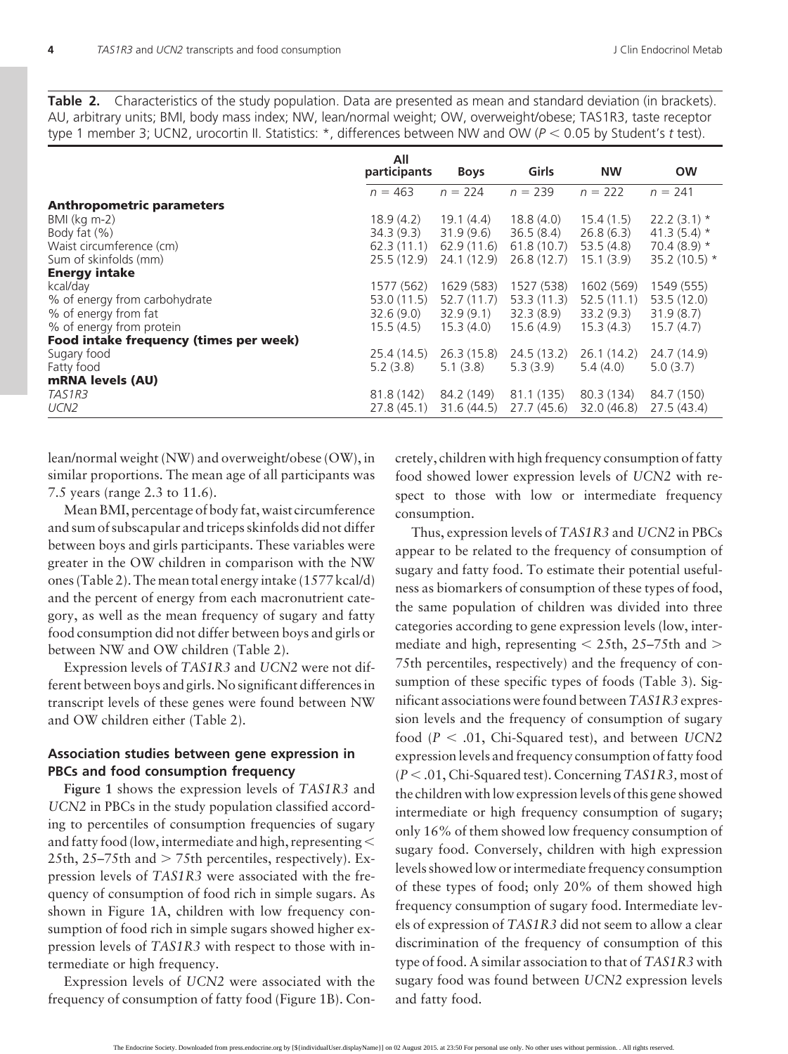**Table 2.** Characteristics of the study population. Data are presented as mean and standard deviation (in brackets). AU, arbitrary units; BMI, body mass index; NW, lean/normal weight; OW, overweight/obese; TAS1R3, taste receptor type 1 member 3; UCN2, urocortin II. Statistics: \*, differences between NW and OW (*P* 0.05 by Student's *t* test).

|                                        | All<br>participants | <b>Boys</b> | Girls      | <b>NW</b>   | <b>OW</b>       |
|----------------------------------------|---------------------|-------------|------------|-------------|-----------------|
|                                        | $n = 463$           | $n = 224$   | $n = 239$  | $n = 222$   | $n = 241$       |
| <b>Anthropometric parameters</b>       |                     |             |            |             |                 |
| $BMl$ (kg m-2)                         | 18.9(4.2)           | 19.1(4.4)   | 18.8(4.0)  | 15.4(1.5)   | $22.2(3.1)$ *   |
| Body fat $(\%)$                        | 34.3(9.3)           | 31.9(9.6)   | 36.5(8.4)  | 26.8(6.3)   | 41.3 $(5.4)$ *  |
| Waist circumference (cm)               | 62.3(11.1)          | 62.9(11.6)  | 61.8(10.7) | 53.5(4.8)   | 70.4 $(8.9)$ *  |
| Sum of skinfolds (mm)                  | 25.5(12.9)          | 24.1 (12.9) | 26.8(12.7) | 15.1(3.9)   | 35.2 $(10.5)$ * |
| <b>Energy intake</b>                   |                     |             |            |             |                 |
| kcal/day                               | 1577 (562)          | 1629 (583)  | 1527 (538) | 1602 (569)  | 1549 (555)      |
| % of energy from carbohydrate          | 53.0(11.5)          | 52.7(11.7)  | 53.3(11.3) | 52.5(11.1)  | 53.5 (12.0)     |
| % of energy from fat                   | 32.6(9.0)           | 32.9(9.1)   | 32.3 (8.9) | 33.2(9.3)   | 31.9(8.7)       |
| % of energy from protein               | 15.5(4.5)           | 15.3(4.0)   | 15.6(4.9)  | 15.3(4.3)   | 15.7(4.7)       |
| Food intake frequency (times per week) |                     |             |            |             |                 |
| Sugary food                            | 25.4(14.5)          | 26.3(15.8)  | 24.5(13.2) | 26.1(14.2)  | 24.7 (14.9)     |
| Fatty food                             | 5.2(3.8)            | 5.1(3.8)    | 5.3(3.9)   | 5.4(4.0)    | 5.0(3.7)        |
| mRNA levels (AU)                       |                     |             |            |             |                 |
| TAS1R3                                 | 81.8 (142)          | 84.2 (149)  | 81.1 (135) | 80.3 (134)  | 84.7 (150)      |
| UCN <sub>2</sub>                       | 27.8(45.1)          | 31.6(44.5)  | 27.7(45.6) | 32.0 (46.8) | 27.5(43.4)      |

lean/normal weight (NW) and overweight/obese (OW), in similar proportions. The mean age of all participants was 7.5 years (range 2.3 to 11.6).

Mean BMI, percentage of body fat, waist circumference and sum of subscapular and triceps skinfolds did not differ between boys and girls participants. These variables were greater in the OW children in comparison with the NW ones (Table 2). The mean total energy intake (1577 kcal/d) and the percent of energy from each macronutrient category, as well as the mean frequency of sugary and fatty food consumption did not differ between boys and girls or between NW and OW children (Table 2).

Expression levels of *TAS1R3* and *UCN2* were not different between boys and girls. No significant differences in transcript levels of these genes were found between NW and OW children either (Table 2).

### **Association studies between gene expression in PBCs and food consumption frequency**

**Figure 1** shows the expression levels of *TAS1R3* and *UCN2* in PBCs in the study population classified according to percentiles of consumption frequencies of sugary and fatty food (low, intermediate and high, representing 25th,  $25-75$ th and  $> 75$ th percentiles, respectively). Expression levels of *TAS1R3* were associated with the frequency of consumption of food rich in simple sugars. As shown in Figure 1A, children with low frequency consumption of food rich in simple sugars showed higher expression levels of *TAS1R3* with respect to those with intermediate or high frequency.

Expression levels of *UCN2* were associated with the frequency of consumption of fatty food (Figure 1B). Concretely, children with high frequency consumption of fatty food showed lower expression levels of *UCN2* with respect to those with low or intermediate frequency consumption.

Thus, expression levels of *TAS1R3* and *UCN2* in PBCs appear to be related to the frequency of consumption of sugary and fatty food. To estimate their potential usefulness as biomarkers of consumption of these types of food, the same population of children was divided into three categories according to gene expression levels (low, intermediate and high, representing  $<$  25th, 25–75th and  $>$ 75th percentiles, respectively) and the frequency of consumption of these specific types of foods (Table 3). Significant associations were found between*TAS1R3* expression levels and the frequency of consumption of sugary food  $(P < .01,$  Chi-Squared test), and between *UCN2* expression levels and frequency consumption of fatty food (*P* .01, Chi-Squared test). Concerning *TAS1R3,* most of the children with low expression levels of this gene showed intermediate or high frequency consumption of sugary; only 16% of them showed low frequency consumption of sugary food. Conversely, children with high expression levels showed low or intermediate frequency consumption of these types of food; only 20% of them showed high frequency consumption of sugary food. Intermediate levels of expression of *TAS1R3* did not seem to allow a clear discrimination of the frequency of consumption of this type of food. A similar association to that of *TAS1R3* with sugary food was found between *UCN2* expression levels and fatty food.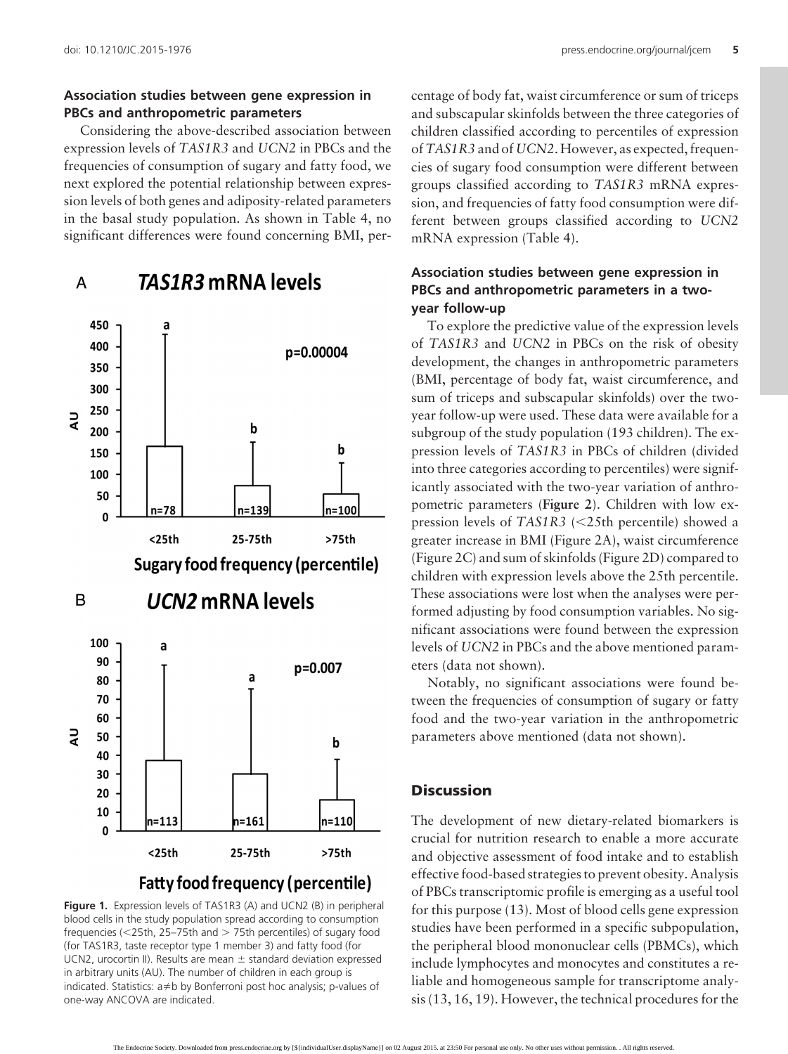A

### **Association studies between gene expression in PBCs and anthropometric parameters**

Considering the above-described association between expression levels of *TAS1R3* and *UCN2* in PBCs and the frequencies of consumption of sugary and fatty food, we next explored the potential relationship between expression levels of both genes and adiposity-related parameters in the basal study population. As shown in Table 4, no significant differences were found concerning BMI, per-



**TAS1R3 mRNA levels** 



centage of body fat, waist circumference or sum of triceps and subscapular skinfolds between the three categories of children classified according to percentiles of expression of*TAS1R3* and of *UCN2*. However, as expected, frequencies of sugary food consumption were different between groups classified according to *TAS1R3* mRNA expression, and frequencies of fatty food consumption were different between groups classified according to *UCN2* mRNA expression (Table 4).

# **Association studies between gene expression in PBCs and anthropometric parameters in a twoyear follow-up**

To explore the predictive value of the expression levels of *TAS1R3* and *UCN2* in PBCs on the risk of obesity development, the changes in anthropometric parameters (BMI, percentage of body fat, waist circumference, and sum of triceps and subscapular skinfolds) over the twoyear follow-up were used. These data were available for a subgroup of the study population (193 children). The expression levels of *TAS1R3* in PBCs of children (divided into three categories according to percentiles) were significantly associated with the two-year variation of anthropometric parameters (**Figure 2**). Children with low expression levels of *TAS1R3* (<25th percentile) showed a greater increase in BMI (Figure 2A), waist circumference (Figure 2C) and sum of skinfolds (Figure 2D) compared to children with expression levels above the 25th percentile. These associations were lost when the analyses were performed adjusting by food consumption variables. No significant associations were found between the expression levels of *UCN2* in PBCs and the above mentioned parameters (data not shown).

Notably, no significant associations were found between the frequencies of consumption of sugary or fatty food and the two-year variation in the anthropometric parameters above mentioned (data not shown).

# **Discussion**

The development of new dietary-related biomarkers is crucial for nutrition research to enable a more accurate and objective assessment of food intake and to establish effective food-based strategies to prevent obesity. Analysis of PBCs transcriptomic profile is emerging as a useful tool for this purpose (13). Most of blood cells gene expression studies have been performed in a specific subpopulation, the peripheral blood mononuclear cells (PBMCs), which include lymphocytes and monocytes and constitutes a reliable and homogeneous sample for transcriptome analysis (13, 16, 19). However, the technical procedures for the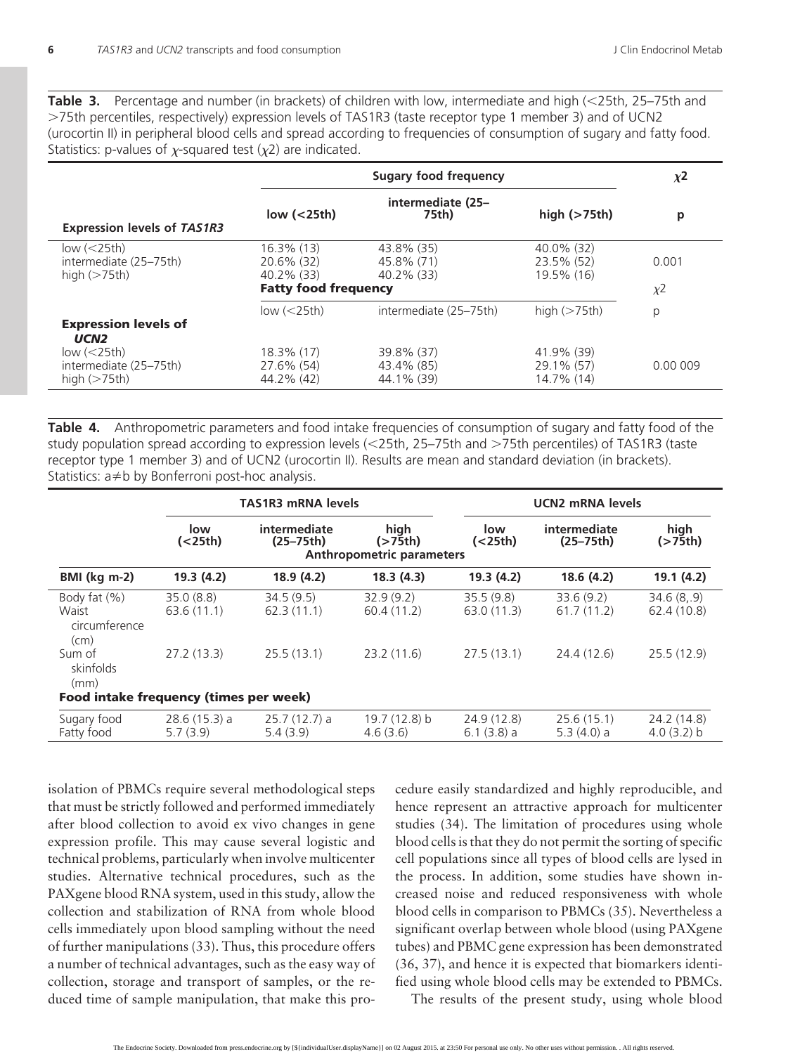**Table 3.** Percentage and number (in brackets) of children with low, intermediate and high (<25th, 25–75th and 75th percentiles, respectively) expression levels of TAS1R3 (taste receptor type 1 member 3) and of UCN2 (urocortin II) in peripheral blood cells and spread according to frequencies of consumption of sugary and fatty food. Statistics: p-values of  $\chi$ -squared test ( $\chi$ 2) are indicated.

|                                                            | <b>Sugary food frequency</b>                                             |                                           |                                        |                   |
|------------------------------------------------------------|--------------------------------------------------------------------------|-------------------------------------------|----------------------------------------|-------------------|
| <b>Expression levels of TAS1R3</b>                         | intermediate (25-<br>low $(25th)$<br>75th)                               |                                           | high $($ >75th $)$                     | p                 |
| low $(<25th)$<br>intermediate (25-75th)<br>high $($ >75th) | $16.3\%$ (13)<br>20.6% (32)<br>40.2% (33)<br><b>Fatty food frequency</b> | 43.8% (35)<br>45.8% (71)<br>$40.2\%$ (33) | 40.0% (32)<br>23.5% (52)<br>19.5% (16) | 0.001<br>$\chi^2$ |
| <b>Expression levels of</b><br>UCN <sub>2</sub>            | low $(<25th)$                                                            | intermediate (25-75th)                    | high $($ >75th)                        | р                 |
| low $(<25th)$<br>intermediate (25-75th)<br>high $($ >75th) | 18.3% (17)<br>27.6% (54)<br>44.2% (42)                                   | 39.8% (37)<br>43.4% (85)<br>44.1% (39)    | 41.9% (39)<br>29.1% (57)<br>14.7% (14) | 0.00 009          |

**Table 4.** Anthropometric parameters and food intake frequencies of consumption of sugary and fatty food of the study population spread according to expression levels (<25th, 25–75th and >75th percentiles) of TAS1R3 (taste receptor type 1 member 3) and of UCN2 (urocortin II). Results are mean and standard deviation (in brackets). Statistics:  $a \neq b$  by Bonferroni post-hoc analysis.

|                                                                       | <b>TAS1R3 mRNA levels</b>  |                               |                                                           |                            | <b>UCN2 mRNA levels</b>       |                           |  |  |
|-----------------------------------------------------------------------|----------------------------|-------------------------------|-----------------------------------------------------------|----------------------------|-------------------------------|---------------------------|--|--|
|                                                                       | low<br>( <sub>25th</sub> ) | intermediate<br>$(25 - 75th)$ | high<br>$($ >75th $)$<br><b>Anthropometric parameters</b> | low<br>( <sub>25th</sub> ) | intermediate<br>$(25 - 75th)$ | high<br>(>75th)           |  |  |
| <b>BMI</b> (kg m-2)                                                   | 19.3(4.2)                  | 18.9(4.2)                     | 18.3(4.3)                                                 | 19.3(4.2)                  | 18.6(4.2)                     | 19.1(4.2)                 |  |  |
| Body fat (%)<br>Waist<br>circumference<br>(cm)                        | 35.0(8.8)<br>63.6(11.1)    | 34.5(9.5)<br>62.3(11.1)       | 32.9(9.2)<br>60.4(11.2)                                   | 35.5(9.8)<br>63.0(11.3)    | 33.6(9.2)<br>61.7(11.2)       | 34.6(8, 9)<br>62.4 (10.8) |  |  |
| Sum of<br>skinfolds<br>(mm)<br>Food intake frequency (times per week) | 27.2(13.3)                 | 25.5(13.1)                    | 23.2(11.6)                                                | 27.5(13.1)                 | 24.4 (12.6)                   | 25.5(12.9)                |  |  |
| Sugary food<br>Fatty food                                             | $28.6(15.3)$ a<br>5.7(3.9) | $25.7(12.7)$ a<br>5.4(3.9)    | 19.7(12.8) b<br>4.6(3.6)                                  | 24.9(12.8)<br>$6.1(3.8)$ a | 25.6(15.1)<br>5.3(4.0) a      | 24.2 (14.8)<br>4.0(3.2) b |  |  |

isolation of PBMCs require several methodological steps that must be strictly followed and performed immediately after blood collection to avoid ex vivo changes in gene expression profile. This may cause several logistic and technical problems, particularly when involve multicenter studies. Alternative technical procedures, such as the PAXgene blood RNA system, used in this study, allow the collection and stabilization of RNA from whole blood cells immediately upon blood sampling without the need of further manipulations (33). Thus, this procedure offers a number of technical advantages, such as the easy way of collection, storage and transport of samples, or the reduced time of sample manipulation, that make this pro-

cedure easily standardized and highly reproducible, and hence represent an attractive approach for multicenter studies (34). The limitation of procedures using whole blood cells is that they do not permit the sorting of specific cell populations since all types of blood cells are lysed in the process. In addition, some studies have shown increased noise and reduced responsiveness with whole blood cells in comparison to PBMCs (35). Nevertheless a significant overlap between whole blood (using PAXgene tubes) and PBMC gene expression has been demonstrated (36, 37), and hence it is expected that biomarkers identified using whole blood cells may be extended to PBMCs.

The results of the present study, using whole blood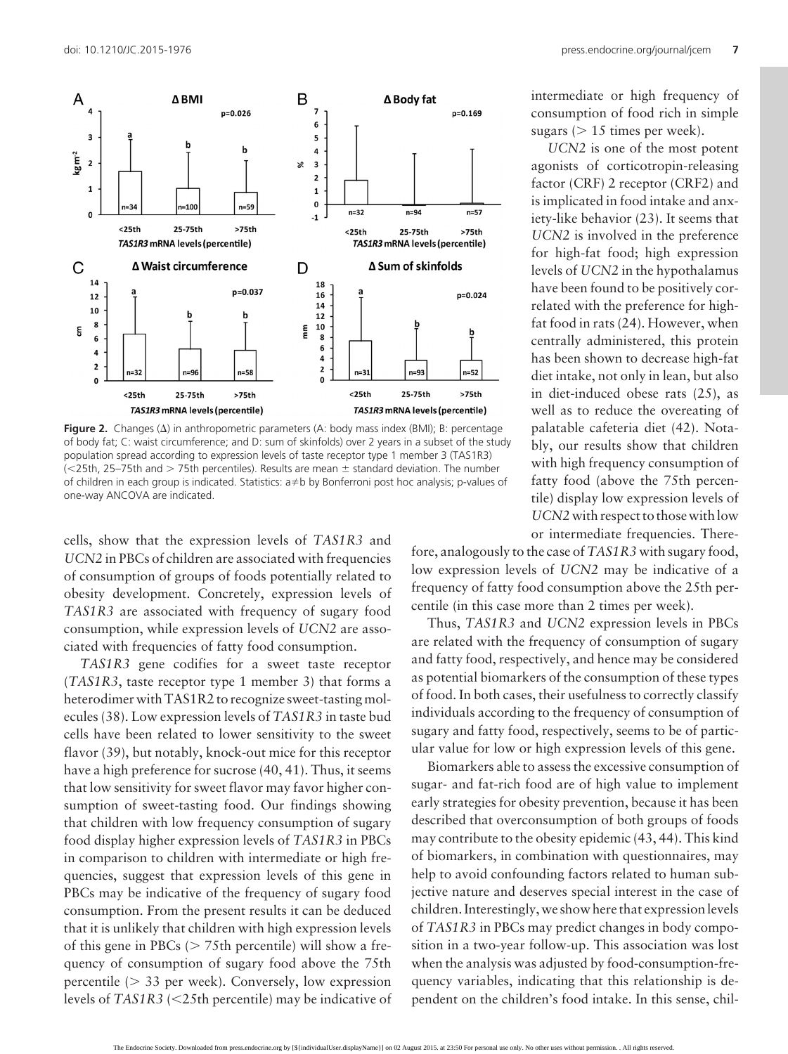

**Figure 2.** Changes  $(\Delta)$  in anthropometric parameters (A: body mass index (BMI); B: percentage of body fat; C: waist circumference; and D: sum of skinfolds) over 2 years in a subset of the study population spread according to expression levels of taste receptor type 1 member 3 (TAS1R3)  $\ll$ 25th, 25–75th and  $>$  75th percentiles). Results are mean  $\pm$  standard deviation. The number of children in each group is indicated. Statistics:  $a \neq b$  by Bonferroni post hoc analysis; p-values of one-way ANCOVA are indicated.

cells, show that the expression levels of *TAS1R3* and *UCN2* in PBCs of children are associated with frequencies of consumption of groups of foods potentially related to obesity development. Concretely, expression levels of *TAS1R3* are associated with frequency of sugary food consumption, while expression levels of *UCN2* are associated with frequencies of fatty food consumption.

*TAS1R3* gene codifies for a sweet taste receptor (*TAS1R3*, taste receptor type 1 member 3) that forms a heterodimer with TAS1R2 to recognize sweet-tasting molecules (38). Low expression levels of *TAS1R3* in taste bud cells have been related to lower sensitivity to the sweet flavor (39), but notably, knock-out mice for this receptor have a high preference for sucrose (40, 41). Thus, it seems that low sensitivity for sweet flavor may favor higher consumption of sweet-tasting food. Our findings showing that children with low frequency consumption of sugary food display higher expression levels of *TAS1R3* in PBCs in comparison to children with intermediate or high frequencies, suggest that expression levels of this gene in PBCs may be indicative of the frequency of sugary food consumption. From the present results it can be deduced that it is unlikely that children with high expression levels of this gene in PBCs ( $> 75$ th percentile) will show a frequency of consumption of sugary food above the 75th percentile  $( > 33$  per week). Conversely, low expression levels of *TAS1R3* (25th percentile) may be indicative of intermediate or high frequency of consumption of food rich in simple sugars ( $> 15$  times per week).

*UCN2* is one of the most potent agonists of corticotropin-releasing factor (CRF) 2 receptor (CRF2) and is implicated in food intake and anxiety-like behavior (23). It seems that *UCN2* is involved in the preference for high-fat food; high expression levels of *UCN2* in the hypothalamus have been found to be positively correlated with the preference for highfat food in rats (24). However, when centrally administered, this protein has been shown to decrease high-fat diet intake, not only in lean, but also in diet-induced obese rats (25), as well as to reduce the overeating of palatable cafeteria diet (42). Notably, our results show that children with high frequency consumption of fatty food (above the 75th percentile) display low expression levels of *UCN2*with respect to those with low or intermediate frequencies. There-

fore, analogously to the case of*TAS1R3* with sugary food, low expression levels of *UCN2* may be indicative of a frequency of fatty food consumption above the 25th percentile (in this case more than 2 times per week).

Thus, *TAS1R3* and *UCN2* expression levels in PBCs are related with the frequency of consumption of sugary and fatty food, respectively, and hence may be considered as potential biomarkers of the consumption of these types of food. In both cases, their usefulness to correctly classify individuals according to the frequency of consumption of sugary and fatty food, respectively, seems to be of particular value for low or high expression levels of this gene.

Biomarkers able to assess the excessive consumption of sugar- and fat-rich food are of high value to implement early strategies for obesity prevention, because it has been described that overconsumption of both groups of foods may contribute to the obesity epidemic (43, 44). This kind of biomarkers, in combination with questionnaires, may help to avoid confounding factors related to human subjective nature and deserves special interest in the case of children. Interestingly, we show here that expressionlevels of *TAS1R3* in PBCs may predict changes in body composition in a two-year follow-up. This association was lost when the analysis was adjusted by food-consumption-frequency variables, indicating that this relationship is dependent on the children's food intake. In this sense, chil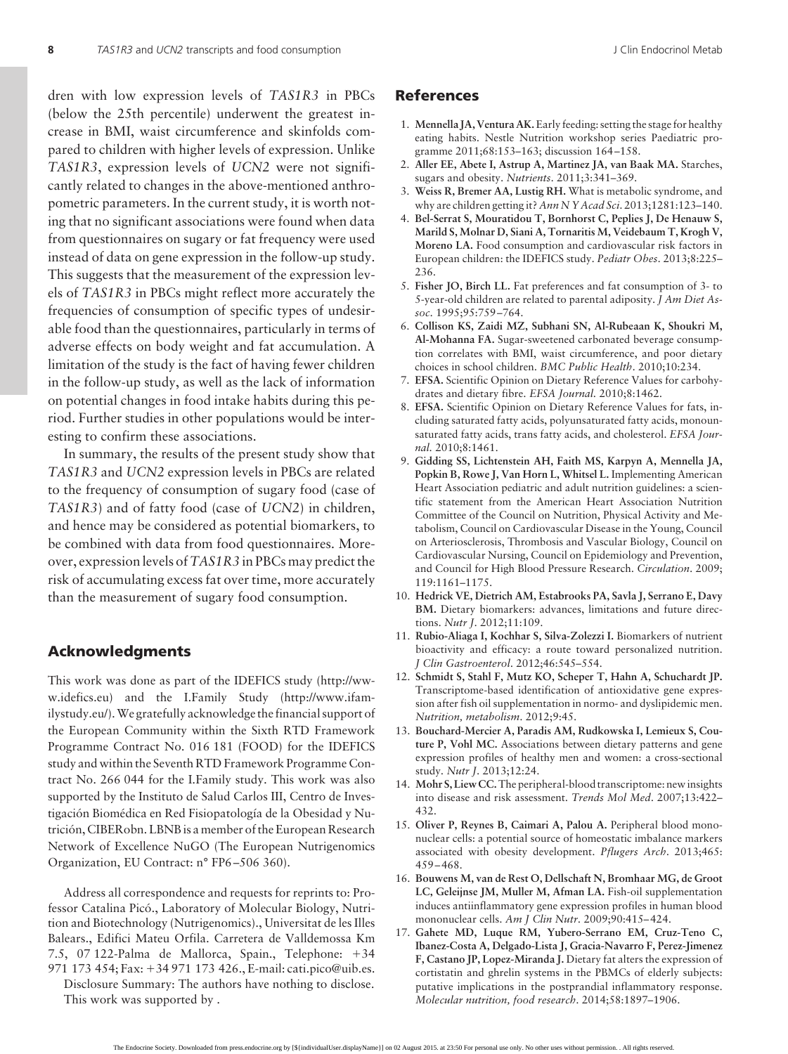dren with low expression levels of *TAS1R3* in PBCs (below the 25th percentile) underwent the greatest increase in BMI, waist circumference and skinfolds compared to children with higher levels of expression. Unlike *TAS1R3*, expression levels of *UCN2* were not significantly related to changes in the above-mentioned anthropometric parameters. In the current study, it is worth noting that no significant associations were found when data from questionnaires on sugary or fat frequency were used instead of data on gene expression in the follow-up study. This suggests that the measurement of the expression levels of *TAS1R3* in PBCs might reflect more accurately the frequencies of consumption of specific types of undesirable food than the questionnaires, particularly in terms of adverse effects on body weight and fat accumulation. A limitation of the study is the fact of having fewer children in the follow-up study, as well as the lack of information on potential changes in food intake habits during this period. Further studies in other populations would be interesting to confirm these associations.

In summary, the results of the present study show that *TAS1R3* and *UCN2* expression levels in PBCs are related to the frequency of consumption of sugary food (case of *TAS1R3*) and of fatty food (case of *UCN2*) in children, and hence may be considered as potential biomarkers, to be combined with data from food questionnaires. Moreover, expression levels of*TAS1R3* in PBCs may predict the risk of accumulating excess fat over time, more accurately than the measurement of sugary food consumption.

### **Acknowledgments**

This work was done as part of the IDEFICS study [\(http://ww](http://www.idefics.eu)[w.idefics.eu\)](http://www.idefics.eu) and the I.Family Study [\(http://www.ifam](http://www.ifamilystudy.eu/)[ilystudy.eu/\)](http://www.ifamilystudy.eu/).We gratefully acknowledge the financial support of the European Community within the Sixth RTD Framework Programme Contract No. 016 181 (FOOD) for the IDEFICS study and within the Seventh RTD Framework Programme Contract No. 266 044 for the I.Family study. This work was also supported by the Instituto de Salud Carlos III, Centro de Investigación Biomédica en Red Fisiopatología de la Obesidad y Nutrición, CIBERobn. LBNB is a member of the European Research Network of Excellence NuGO (The European Nutrigenomics Organization, EU Contract: n° FP6 –506 360).

Address all correspondence and requests for reprints to: Professor Catalina Picó., Laboratory of Molecular Biology, Nutrition and Biotechnology (Nutrigenomics)., Universitat de les Illes Balears., Edifici Mateu Orfila. Carretera de Valldemossa Km 7.5, 07 122-Palma de Mallorca, Spain., Telephone: +34 971 173 454; Fax: +34 971 173 426., E-mail: [cati.pico@uib.es.](mailto:cati.pico@uib.es)

Disclosure Summary: The authors have nothing to disclose. This work was supported by .

### **References**

- 1. **Mennella JA, Ventura AK.**Early feeding: setting the stage for healthy eating habits. Nestle Nutrition workshop series Paediatric programme 2011;68:153–163; discussion 164 –158.
- 2. **Aller EE, Abete I, Astrup A, Martinez JA, van Baak MA.** Starches, sugars and obesity. *Nutrients*. 2011;3:341–369.
- 3. **Weiss R, Bremer AA, Lustig RH.** What is metabolic syndrome, and why are children getting it? *Ann N Y Acad Sci*. 2013;1281:123–140.
- 4. **Bel-Serrat S, Mouratidou T, Bornhorst C, Peplies J, De Henauw S, Marild S, Molnar D, Siani A, Tornaritis M, Veidebaum T, Krogh V, Moreno LA.** Food consumption and cardiovascular risk factors in European children: the IDEFICS study. *Pediatr Obes*. 2013;8:225– 236.
- 5. **Fisher JO, Birch LL.** Fat preferences and fat consumption of 3- to 5-year-old children are related to parental adiposity. *J Am Diet Assoc*. 1995;95:759 –764.
- 6. **Collison KS, Zaidi MZ, Subhani SN, Al-Rubeaan K, Shoukri M, Al-Mohanna FA.** Sugar-sweetened carbonated beverage consumption correlates with BMI, waist circumference, and poor dietary choices in school children. *BMC Public Health*. 2010;10:234.
- 7. **EFSA.** Scientific Opinion on Dietary Reference Values for carbohydrates and dietary fibre. *EFSA Journal.* 2010;8:1462.
- 8. **EFSA.** Scientific Opinion on Dietary Reference Values for fats, including saturated fatty acids, polyunsaturated fatty acids, monounsaturated fatty acids, trans fatty acids, and cholesterol. *EFSA Journal.* 2010;8:1461.
- 9. **Gidding SS, Lichtenstein AH, Faith MS, Karpyn A, Mennella JA, Popkin B, Rowe J, Van Horn L, Whitsel L.** Implementing American Heart Association pediatric and adult nutrition guidelines: a scientific statement from the American Heart Association Nutrition Committee of the Council on Nutrition, Physical Activity and Metabolism, Council on Cardiovascular Disease in the Young, Council on Arteriosclerosis, Thrombosis and Vascular Biology, Council on Cardiovascular Nursing, Council on Epidemiology and Prevention, and Council for High Blood Pressure Research. *Circulation*. 2009; 119:1161–1175.
- 10. **Hedrick VE, Dietrich AM, Estabrooks PA, Savla J, Serrano E, Davy BM.** Dietary biomarkers: advances, limitations and future directions. *Nutr J*. 2012;11:109.
- 11. **Rubio-Aliaga I, Kochhar S, Silva-Zolezzi I.** Biomarkers of nutrient bioactivity and efficacy: a route toward personalized nutrition. *J Clin Gastroenterol*. 2012;46:545–554.
- 12. **Schmidt S, Stahl F, Mutz KO, Scheper T, Hahn A, Schuchardt JP.** Transcriptome-based identification of antioxidative gene expression after fish oil supplementation in normo- and dyslipidemic men. *Nutrition, metabolism*. 2012;9:45.
- 13. **Bouchard-Mercier A, Paradis AM, Rudkowska I, Lemieux S, Couture P, Vohl MC.** Associations between dietary patterns and gene expression profiles of healthy men and women: a cross-sectional study. *Nutr J*. 2013;12:24.
- 14. **Mohr S, Liew CC.**The peripheral-blood transcriptome: new insights into disease and risk assessment. *Trends Mol Med*. 2007;13:422– 432.
- 15. **Oliver P, Reynes B, Caimari A, Palou A.** Peripheral blood mononuclear cells: a potential source of homeostatic imbalance markers associated with obesity development. *Pflugers Arch*. 2013;465: 459 – 468.
- 16. **Bouwens M, van de Rest O, Dellschaft N, Bromhaar MG, de Groot LC, Geleijnse JM, Muller M, Afman LA.** Fish-oil supplementation induces antiinflammatory gene expression profiles in human blood mononuclear cells. *Am J Clin Nutr*. 2009;90:415– 424.
- 17. **Gahete MD, Luque RM, Yubero-Serrano EM, Cruz-Teno C, Ibanez-Costa A, Delgado-Lista J, Gracia-Navarro F, Perez-Jimenez F, Castano JP, Lopez-Miranda J.** Dietary fat alters the expression of cortistatin and ghrelin systems in the PBMCs of elderly subjects: putative implications in the postprandial inflammatory response. *Molecular nutrition, food research*. 2014;58:1897–1906.